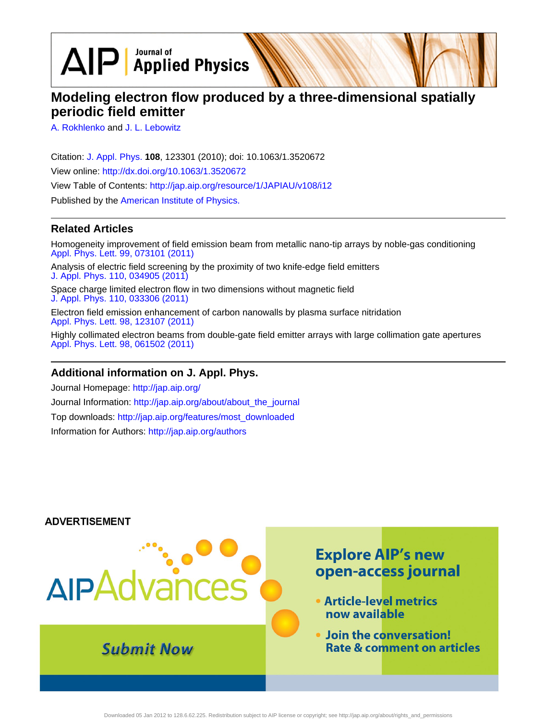$\text{AlP}$  Applied Physics

# **Modeling electron flow produced by a three-dimensional spatially periodic field emitter**

[A. Rokhlenko](http://jap.aip.org/search?sortby=newestdate&q=&searchzone=2&searchtype=searchin&faceted=faceted&key=AIP_ALL&possible1=A. Rokhlenko&possible1zone=author&alias=&displayid=AIP&ver=pdfcov) and [J. L. Lebowitz](http://jap.aip.org/search?sortby=newestdate&q=&searchzone=2&searchtype=searchin&faceted=faceted&key=AIP_ALL&possible1=J. L. Lebowitz&possible1zone=author&alias=&displayid=AIP&ver=pdfcov)

Citation: [J. Appl. Phys.](http://jap.aip.org/?ver=pdfcov) **108**, 123301 (2010); doi: 10.1063/1.3520672 View online: [http://dx.doi.org/10.1063/1.3520672](http://link.aip.org/link/doi/10.1063/1.3520672?ver=pdfcov) View Table of Contents: [http://jap.aip.org/resource/1/JAPIAU/v108/i12](http://jap.aip.org/resource/1/JAPIAU/v108/i12?ver=pdfcov) Published by the [American Institute of Physics.](http://www.aip.org/?ver=pdfcov)

## **Related Articles**

Homogeneity improvement of field emission beam from metallic nano-tip arrays by noble-gas conditioning [Appl. Phys. Lett. 99, 073101 \(2011\)](http://link.aip.org/link/doi/10.1063/1.3624705?ver=pdfcov)

Analysis of electric field screening by the proximity of two knife-edge field emitters [J. Appl. Phys. 110, 034905 \(2011\)](http://link.aip.org/link/doi/10.1063/1.3615846?ver=pdfcov)

Space charge limited electron flow in two dimensions without magnetic field [J. Appl. Phys. 110, 033306 \(2011\)](http://link.aip.org/link/doi/10.1063/1.3622152?ver=pdfcov)

Electron field emission enhancement of carbon nanowalls by plasma surface nitridation [Appl. Phys. Lett. 98, 123107 \(2011\)](http://link.aip.org/link/doi/10.1063/1.3532114?ver=pdfcov)

Highly collimated electron beams from double-gate field emitter arrays with large collimation gate apertures [Appl. Phys. Lett. 98, 061502 \(2011\)](http://link.aip.org/link/doi/10.1063/1.3551541?ver=pdfcov)

## **Additional information on J. Appl. Phys.**

Journal Homepage: [http://jap.aip.org/](http://jap.aip.org/?ver=pdfcov) Journal Information: [http://jap.aip.org/about/about\\_the\\_journal](http://jap.aip.org/about/about_the_journal?ver=pdfcov) Top downloads: [http://jap.aip.org/features/most\\_downloaded](http://jap.aip.org/features/most_downloaded?ver=pdfcov) Information for Authors: [http://jap.aip.org/authors](http://jap.aip.org/authors?ver=pdfcov)



Downloaded 05 Jan 2012 to 128.6.62.225. Redistribution subject to AIP license or copyright; see http://jap.aip.org/about/rights\_and\_permissions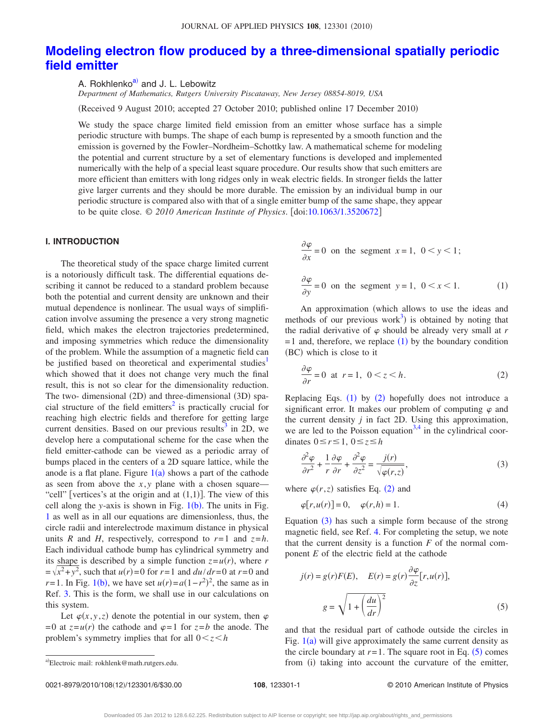## **[Modeling electron flow produced by a three-dimensional spatially periodic](http://dx.doi.org/10.1063/1.3520672) [field emitter](http://dx.doi.org/10.1063/1.3520672)**

A. Rokhlenko<sup>a)</sup> and J. L. Lebowitz

*Department of Mathematics, Rutgers University Piscataway, New Jersey 08854-8019, USA*

(Received 9 August 2010; accepted 27 October 2010; published online 17 December 2010)

We study the space charge limited field emission from an emitter whose surface has a simple periodic structure with bumps. The shape of each bump is represented by a smooth function and the emission is governed by the Fowler–Nordheim–Schottky law. A mathematical scheme for modeling the potential and current structure by a set of elementary functions is developed and implemented numerically with the help of a special least square procedure. Our results show that such emitters are more efficient than emitters with long ridges only in weak electric fields. In stronger fields the latter give larger currents and they should be more durable. The emission by an individual bump in our periodic structure is compared also with that of a single emitter bump of the same shape, they appear to be quite close. © *2010 American Institute of Physics*. doi[:10.1063/1.3520672](http://dx.doi.org/10.1063/1.3520672)

#### **I. INTRODUCTION**

The theoretical study of the space charge limited current is a notoriously difficult task. The differential equations describing it cannot be reduced to a standard problem because both the potential and current density are unknown and their mutual dependence is nonlinear. The usual ways of simplification involve assuming the presence a very strong magnetic field, which makes the electron trajectories predetermined, and imposing symmetries which reduce the dimensionality of the problem. While the assumption of a magnetic field can be justified based on theoretical and experimental studies<sup>1</sup> which showed that it does not change very much the final result, this is not so clear for the dimensionality reduction. The two- dimensional (2D) and three-dimensional (3D) spacial structure of the field emitters<sup>2</sup> is practically crucial for reaching high electric fields and therefore for getting large current densities. Based on our previous results<sup>3</sup> in 2D, we develop here a computational scheme for the case when the field emitter-cathode can be viewed as a periodic array of bumps placed in the centers of a 2D square lattice, while the anode is a flat plane. Figure  $1(a)$  $1(a)$  shows a part of the cathode as seen from above the *x*, *y* plane with a chosen square— "cell" [vertices's at the origin and at  $(1,1)$ ]. The view of this cell along the *y*-axis is shown in Fig.  $1(b)$  $1(b)$ . The units in Fig. [1](#page-2-0) as well as in all our equations are dimensionless, thus, the circle radii and interelectrode maximum distance in physical units *R* and *H*, respectively, correspond to  $r=1$  and  $z=h$ . Each individual cathode bump has cylindrical symmetry and its shape is described by a simple function  $z = u(r)$ , where *r*  $=\sqrt{x^2+y^2}$ , such that  $u(r)=0$  for  $r=1$  and  $du/dr=0$  at  $r=0$  and *r*=[1](#page-2-0). In Fig. 1(b), we have set  $u(r) = a(1 - r^2)^2$ , the same as in Ref. [3.](#page-6-2) This is the form, we shall use in our calculations on this system.

Let  $\varphi(x, y, z)$  denote the potential in our system, then  $\varphi$  $= 0$  at  $z = u(r)$  the cathode and  $\varphi = 1$  for  $z = b$  the anode. The problem's symmetry implies that for all  $0 < z < h$ 

<span id="page-1-0"></span>
$$
\frac{\partial \varphi}{\partial x} = 0 \text{ on the segment } x = 1, \ 0 < y < 1;
$$
\n
$$
\frac{\partial \varphi}{\partial y} = 0 \text{ on the segment } y = 1, \ 0 < x < 1. \tag{1}
$$

An approximation (which allows to use the ideas and methods of our previous work<sup>3</sup>) is obtained by noting that the radial derivative of  $\varphi$  should be already very small at *r*  $= 1$  $= 1$  and, therefore, we replace  $(1)$  by the boundary condition (BC) which is close to it

<span id="page-1-1"></span>
$$
\frac{\partial \varphi}{\partial r} = 0 \text{ at } r = 1, \ 0 < z < h. \tag{2}
$$

Replacing Eqs.  $(1)$  $(1)$  $(1)$  by  $(2)$  $(2)$  $(2)$  hopefully does not introduce a significant error. It makes our problem of computing  $\varphi$  and the current density *j* in fact 2D. Using this approximation, we are led to the Poisson equation<sup>3[,4](#page-6-3)</sup> in the cylindrical coordinates  $0 \leq r \leq 1$ ,  $0 \leq z \leq h$ 

<span id="page-1-2"></span>
$$
\frac{\partial^2 \varphi}{\partial r^2} + \frac{1}{r} \frac{\partial \varphi}{\partial r} + \frac{\partial^2 \varphi}{\partial z^2} = \frac{j(r)}{\sqrt{\varphi(r,z)}},
$$
(3)

<span id="page-1-4"></span>where  $\varphi(r, z)$  satisfies Eq. ([2](#page-1-1)) and

$$
\varphi[r, u(r)] = 0, \quad \varphi(r, h) = 1.
$$
\n(4)

Equation  $(3)$  $(3)$  $(3)$  has such a simple form because of the strong magnetic field, see Ref. [4.](#page-6-3) For completing the setup, we note that the current density is a function  $F$  of the normal component *E* of the electric field at the cathode

<span id="page-1-3"></span>
$$
j(r) = g(r)F(E), \quad E(r) = g(r)\frac{\partial \varphi}{\partial z}[r, u(r)],
$$

$$
g = \sqrt{1 + \left(\frac{du}{dr}\right)^2}
$$
(5)

and that the residual part of cathode outside the circles in Fig.  $1(a)$  $1(a)$  will give approximately the same current density as the circle boundary at  $r = 1$ . The square root in Eq.  $(5)$  $(5)$  $(5)$  comes a)Electroic mail: rokhlenk@math.rutgers.edu. The mitter, from (i) taking into account the curvature of the emitter,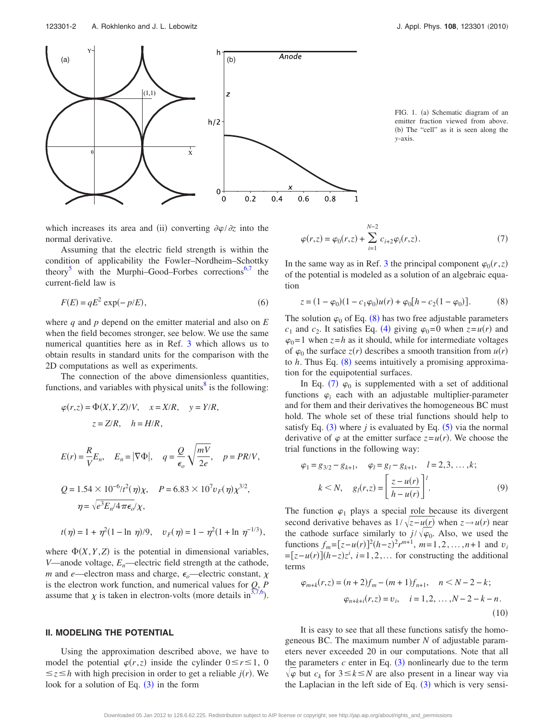123301-2 A. Rokhlenko and J. L. Lebowitz J. Appl. Phys. **108**, 123301 2010-

<span id="page-2-0"></span>

FIG. 1. (a) Schematic diagram of an emitter fraction viewed from above. (b) The "cell" as it is seen along the *y*-axis.

which increases its area and (ii) converting  $\partial \varphi / \partial z$  into the normal derivative.

Assuming that the electric field strength is within the condition of applicability the Fowler–Nordheim–Schottky theory<sup>[5](#page-6-4)</sup> with the Murphi–Good–Forbes corrections<sup>6[,7](#page-6-6)</sup> the current-field law is

$$
F(E) = qE^2 \exp(-p/E),\tag{6}
$$

where *q* and *p* depend on the emitter material and also on *E* when the field becomes stronger, see below. We use the same numerical quantities here as in Ref. [3](#page-6-2) which allows us to obtain results in standard units for the comparison with the 2D computations as well as experiments.

The connection of the above dimensionless quantities, functions, and variables with physical units $\delta$  is the following:

$$
\varphi(r, z) = \Phi(X, Y, Z)/V, \quad x = X/R, \quad y = Y/R,
$$
  
\n
$$
z = Z/R, \quad h = H/R,
$$
  
\n
$$
E(r) = \frac{R}{V}E_n, \quad E_n = |\nabla\Phi|, \quad q = \frac{Q}{\epsilon_o} \sqrt{\frac{mV}{2e}}, \quad p = PR/V,
$$
  
\n
$$
Q = 1.54 \times 10^{-6} \frac{l^2}{\eta} \sqrt{\frac{m}{\eta}}, \quad P = 6.83 \times 10^7 v_F(\eta) \chi^{3/2},
$$
  
\n
$$
\eta = \sqrt{e^3 E_n/4 \pi \epsilon_o/\chi},
$$
  
\n
$$
t(\eta) = 1 + \eta^2 (1 - \ln \eta)/9, \quad v_F(\eta) = 1 - \eta^2 (1 + \ln \eta^{-1/3}),
$$

where  $\Phi(X, Y, Z)$  is the potential in dimensional variables, *V*—anode voltage,  $E_n$ —electric field strength at the cathode, *m* and *e*—electron mass and charge,  $\epsilon_o$ —electric constant,  $\chi$ is the electron work function, and numerical values for *Q*, *P* assume that  $\chi$  is taken in electron-volts (more details in<sup>3[,7](#page-6-6)[,6](#page-6-5)</sup>).

#### **II. MODELING THE POTENTIAL**

Using the approximation described above, we have to model the potential  $\varphi(r, z)$  inside the cylinder  $0 \le r \le 1$ , 0  $\leq z \leq h$  with high precision in order to get a reliable *j*(*r*). We look for a solution of Eq.  $(3)$  $(3)$  $(3)$  in the form

<span id="page-2-2"></span>
$$
\varphi(r,z) = \varphi_0(r,z) + \sum_{i=1}^{N-2} c_{i+2} \varphi_i(r,z).
$$
 (7)

In the same way as in Ref. [3](#page-6-2) the principal component  $\varphi_0(r, z)$ of the potential is modeled as a solution of an algebraic equation

<span id="page-2-1"></span>
$$
z = (1 - \varphi_0)(1 - c_1\varphi_0)u(r) + \varphi_0[h - c_2(1 - \varphi_0)].
$$
 (8)

The solution  $\varphi_0$  of Eq. ([8](#page-2-1)) has two free adjustable parameters  $c_1$  and  $c_2$ . It satisfies Eq. ([4](#page-1-4)) giving  $\varphi_0 = 0$  when  $z = u(r)$  and  $\varphi_0 = 1$  when  $z = h$  as it should, while for intermediate voltages of  $\varphi_0$  the surface  $z(r)$  describes a smooth transition from  $u(r)$ to  $h$ . Thus Eq.  $(8)$  $(8)$  $(8)$  seems intuitively a promising approximation for the equipotential surfaces.

In Eq. ([7](#page-2-2))  $\varphi_0$  is supplemented with a set of additional functions  $\varphi_i$  each with an adjustable multiplier-parameter and for them and their derivatives the homogeneous BC must hold. The whole set of these trial functions should help to satisfy Eq.  $(3)$  $(3)$  $(3)$  where *j* is evaluated by Eq.  $(5)$  $(5)$  $(5)$  via the normal derivative of  $\varphi$  at the emitter surface  $z = u(r)$ . We choose the trial functions in the following way:

<span id="page-2-3"></span>
$$
\varphi_1 = g_{3/2} - g_{k+1}, \quad \varphi_l = g_l - g_{k+1}, \quad l = 2, 3, ..., k;
$$

$$
k < N, \quad g_l(r, z) = \left[ \frac{z - u(r)}{h - u(r)} \right]^l. \tag{9}
$$

The function  $\varphi_1$  plays a special role because its divergent second derivative behaves as  $1/\sqrt{z}-u(r)$  when  $z \rightarrow u(r)$  near the cathode surface similarly to  $j/\sqrt{\varphi_0}$ . Also, we used the functions  $f_m = [z - u(r)]^2 (h - z)^2 r^{m+1}$ ,  $m = 1, 2, ..., n+1$  and  $v_i$  $=[z-u(r)](h-z)z^i$ ,  $i=1,2,...$  for constructing the additional terms

<span id="page-2-4"></span>
$$
\varphi_{m+k}(r,z) = (n+2)f_m - (m+1)f_{n+1}, \quad n < N-2-k; \\
\varphi_{n+k+i}(r,z) = v_i, \quad i = 1,2,\ldots,N-2-k-n. \tag{10}
$$

It is easy to see that all these functions satisfy the homogeneous BC. The maximum number *N* of adjustable parameters never exceeded 20 in our computations. Note that all the parameters  $c$  enter in Eq.  $(3)$  $(3)$  $(3)$  nonlinearly due to the term  $\sqrt{\varphi}$  but  $c_k$  for  $3 \le k \le N$  are also present in a linear way via the Laplacian in the left side of Eq.  $(3)$  $(3)$  $(3)$  which is very sensi-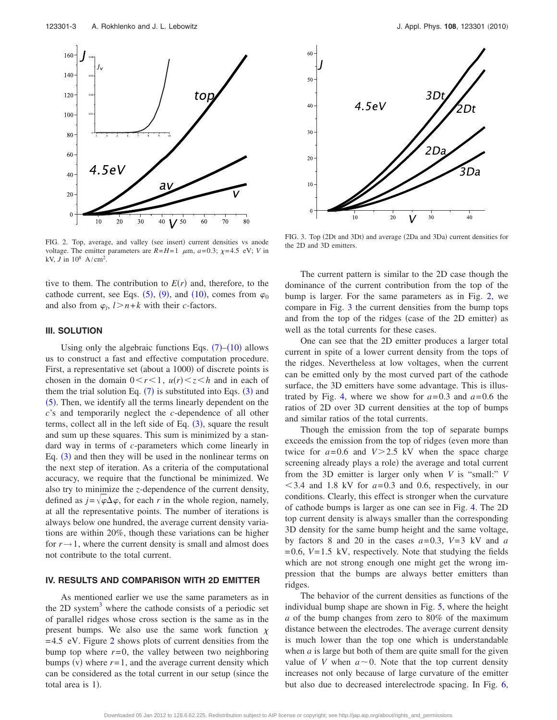<span id="page-3-0"></span>

FIG. 2. Top, average, and valley (see insert) current densities vs anode voltage. The emitter parameters are  $R=H=1$   $\mu$ m,  $a=0.3$ ;  $\chi=4.5$  eV; *V* in kV, *J* in  $10^8$  A/cm<sup>2</sup>.

tive to them. The contribution to  $E(r)$  and, therefore, to the cathode current, see Eqs.  $(5)$  $(5)$  $(5)$ ,  $(9)$  $(9)$  $(9)$ , and  $(10)$  $(10)$  $(10)$ , comes from  $\varphi_0$ and also from  $\varphi_l$ ,  $l > n+k$  with their *c*-factors.

### **III. SOLUTION**

Using only the algebraic functions Eqs.  $(7)$  $(7)$  $(7)$ – $(10)$  $(10)$  $(10)$  allows us to construct a fast and effective computation procedure. First, a representative set (about a 1000) of discrete points is chosen in the domain  $0 < r < 1$ ,  $u(r) < z < h$  and in each of them the trial solution Eq.  $(7)$  $(7)$  $(7)$  is substituted into Eqs.  $(3)$  $(3)$  $(3)$  and ([5](#page-1-3)). Then, we identify all the terms linearly dependent on the *c*'s and temporarily neglect the *c*-dependence of all other terms, collect all in the left side of Eq.  $(3)$  $(3)$  $(3)$ , square the result and sum up these squares. This sum is minimized by a standard way in terms of *c*-parameters which come linearly in Eq.  $(3)$  $(3)$  $(3)$  and then they will be used in the nonlinear terms on the next step of iteration. As a criteria of the computational accuracy, we require that the functional be minimized. We also try to minimize the *z*-dependence of the current density, defined as  $j = \sqrt{\varphi} \Delta \varphi$ , for each *r* in the whole region, namely, at all the representative points. The number of iterations is always below one hundred, the average current density variations are within 20%, though these variations can be higher for  $r \rightarrow 1$ , where the current density is small and almost does not contribute to the total current.

#### **IV. RESULTS AND COMPARISON WITH 2D EMITTER**

As mentioned earlier we use the same parameters as in the 2D system<sup>3</sup> where the cathode consists of a periodic set of parallel ridges whose cross section is the same as in the present bumps. We also use the same work function  $\chi$ = 4.5 eV. Figure [2](#page-3-0) shows plots of current densities from the bump top where  $r=0$ , the valley between two neighboring bumps (v) where  $r = 1$ , and the average current density which can be considered as the total current in our setup (since the total area is 1).

<span id="page-3-1"></span>

FIG. 3. Top (2Dt and 3Dt) and average (2Da and 3Da) current densities for the 2D and 3D emitters.

The current pattern is similar to the 2D case though the dominance of the current contribution from the top of the bump is larger. For the same parameters as in Fig. [2,](#page-3-0) we compare in Fig. [3](#page-3-1) the current densities from the bump tops and from the top of the ridges (case of the 2D emitter) as well as the total currents for these cases.

One can see that the 2D emitter produces a larger total current in spite of a lower current density from the tops of the ridges. Nevertheless at low voltages, when the current can be emitted only by the most curved part of the cathode surface, the 3D emitters have some advantage. This is illus-trated by Fig. [4,](#page-4-0) where we show for  $a=0.3$  and  $a=0.6$  the ratios of 2D over 3D current densities at the top of bumps and similar ratios of the total currents.

Though the emission from the top of separate bumps exceeds the emission from the top of ridges (even more than twice for  $a=0.6$  and  $V>2.5$  kV when the space charge screening already plays a role) the average and total current from the 3D emitter is larger only when *V* is "small:" *V*  $<$  3.4 and 1.8 kV for  $a$ =0.3 and 0.6, respectively, in our conditions. Clearly, this effect is stronger when the curvature of cathode bumps is larger as one can see in Fig. [4.](#page-4-0) The 2D top current density is always smaller than the corresponding 3D density for the same bump height and the same voltage, by factors 8 and 20 in the cases  $a=0.3$ ,  $V=3$  kV and  $a$  $= 0.6$ ,  $V = 1.5$  kV, respectively. Note that studying the fields which are not strong enough one might get the wrong impression that the bumps are always better emitters than ridges.

The behavior of the current densities as functions of the individual bump shape are shown in Fig. [5,](#page-4-1) where the height *a* of the bump changes from zero to 80% of the maximum distance between the electrodes. The average current density is much lower than the top one which is understandable when  $a$  is large but both of them are quite small for the given value of *V* when  $a \sim 0$ . Note that the top current density increases not only because of large curvature of the emitter but also due to decreased interelectrode spacing. In Fig. [6,](#page-4-2)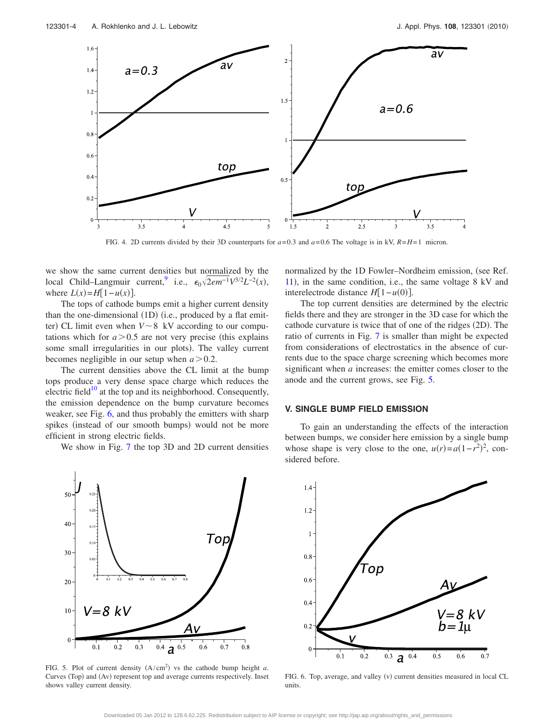<span id="page-4-0"></span>

FIG. 4. 2D currents divided by their 3D counterparts for  $a=0.3$  and  $a=0.6$  The voltage is in kV,  $R=H=1$  micron.

we show the same current densities but normalized by the local Child–Langmuir current,<sup>9</sup> i.e.,  $\epsilon_0 \sqrt{2em^{-1}V^{3/2}}L^{-2}(x)$ , where  $L(x) = H[1 - u(x)].$ 

The tops of cathode bumps emit a higher current density than the one-dimensional (1D) (i.e., produced by a flat emitter) CL limit even when  $V \sim 8$  kV according to our computations which for  $a > 0.5$  are not very precise (this explains some small irregularities in our plots). The valley current becomes negligible in our setup when  $a > 0.2$ .

The current densities above the CL limit at the bump tops produce a very dense space charge which reduces the electric field<sup>10</sup> at the top and its neighborhood. Consequently, the emission dependence on the bump curvature becomes weaker, see Fig. [6,](#page-4-2) and thus probably the emitters with sharp spikes (instead of our smooth bumps) would not be more efficient in strong electric fields.

We show in Fig. [7](#page-5-0) the top 3D and 2D current densities

normalized by the 1D Fowler-Nordheim emission, (see Ref. [11](#page-6-10), in the same condition, i.e., the same voltage 8 kV and interelectrode distance  $H[1 - u(0)]$ .

The top current densities are determined by the electric fields there and they are stronger in the 3D case for which the cathode curvature is twice that of one of the ridges (2D). The ratio of currents in Fig. [7](#page-5-0) is smaller than might be expected from considerations of electrostatics in the absence of currents due to the space charge screening which becomes more significant when *a* increases: the emitter comes closer to the anode and the current grows, see Fig. [5.](#page-4-1)

#### **V. SINGLE BUMP FIELD EMISSION**

To gain an understanding the effects of the interaction between bumps, we consider here emission by a single bump whose shape is very close to the one,  $u(r) = a(1 - r^2)^2$ , considered before.

<span id="page-4-1"></span>

FIG. 5. Plot of current density  $(A/cm<sup>2</sup>)$  vs the cathode bump height *a*. Curves (Top) and (Av) represent top and average currents respectively. Inset shows valley current density.

<span id="page-4-2"></span>

FIG. 6. Top, average, and valley (v) current densities measured in local CL units.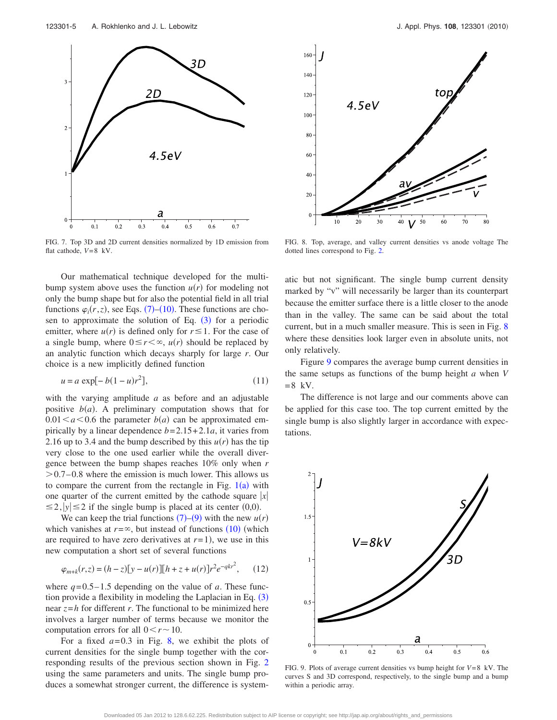<span id="page-5-0"></span>

FIG. 7. Top 3D and 2D current densities normalized by 1D emission from flat cathode,  $V=8$  kV.

Our mathematical technique developed for the multibump system above uses the function  $u(r)$  for modeling not only the bump shape but for also the potential field in all trial functions  $\varphi_i(r, z)$ , see Eqs. ([7](#page-2-2))–([10](#page-2-4)). These functions are chosen to approximate the solution of Eq.  $(3)$  $(3)$  $(3)$  for a periodic emitter, where  $u(r)$  is defined only for  $r \leq 1$ . For the case of a single bump, where  $0 \le r < \infty$ ,  $u(r)$  should be replaced by an analytic function which decays sharply for large *r*. Our choice is a new implicitly defined function

$$
u = a \exp[-b(1-u)r^2],
$$
 (11)

with the varying amplitude *a* as before and an adjustable positive  $b(a)$ . A preliminary computation shows that for  $0.01 \le a \le 0.6$  the parameter  $b(a)$  can be approximated empirically by a linear dependence  $b = 2.15 + 2.1a$ , it varies from 2.16 up to 3.4 and the bump described by this  $u(r)$  has the tip very close to the one used earlier while the overall divergence between the bump shapes reaches 10% only when *r*  $> 0.7-0.8$  where the emission is much lower. This allows us to compare the current from the rectangle in Fig.  $1(a)$  $1(a)$  with one quarter of the current emitted by the cathode square  $|x|$  $\leq$  2,  $|y| \leq 2$  if the single bump is placed at its center (0,0).

We can keep the trial functions  $(7)$  $(7)$  $(7)$ – $(9)$  $(9)$  $(9)$  with the new  $u(r)$ which vanishes at  $r = \infty$ , but instead of functions  $(10)$  $(10)$  $(10)$  (which are required to have zero derivatives at  $r=1$ , we use in this new computation a short set of several functions

$$
\varphi_{m+k}(r,z) = (h-z)[y - u(r)][h + z + u(r)]r^2 e^{-qkr^2}, \qquad (12)
$$

where  $q = 0.5 - 1.5$  depending on the value of *a*. These function provide a flexibility in modeling the Laplacian in Eq.  $(3)$  $(3)$  $(3)$ near  $z = h$  for different *r*. The functional to be minimized here involves a larger number of terms because we monitor the computation errors for all  $0 < r \sim 10$ .

For a fixed  $a = 0.3$  in Fig. [8,](#page-5-1) we exhibit the plots of current densities for the single bump together with the corresponding results of the previous section shown in Fig. [2](#page-3-0) using the same parameters and units. The single bump produces a somewhat stronger current, the difference is system-

<span id="page-5-1"></span>

FIG. 8. Top, average, and valley current densities vs anode voltage The dotted lines correspond to Fig. [2.](#page-3-0)

atic but not significant. The single bump current density marked by "v" will necessarily be larger than its counterpart because the emitter surface there is a little closer to the anode than in the valley. The same can be said about the total current, but in a much smaller measure. This is seen in Fig. [8](#page-5-1) where these densities look larger even in absolute units, not only relatively.

Figure [9](#page-5-2) compares the average bump current densities in the same setups as functions of the bump height *a* when *V*  $= 8$  kV.

The difference is not large and our comments above can be applied for this case too. The top current emitted by the single bump is also slightly larger in accordance with expectations.

<span id="page-5-2"></span>

FIG. 9. Plots of average current densities vs bump height for *V*= 8 kV. The curves S and 3D correspond, respectively, to the single bump and a bump within a periodic array.